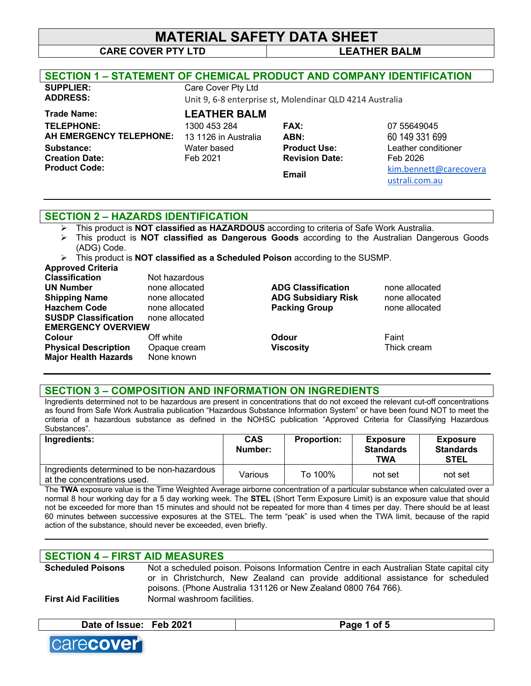### **MATERIAL SAFETY DATA SHEET CARE COVER PTY LTD LEATHER BALM**

| <b>SECTION 1 - STATEMENT OF CHEMICAL PRODUCT AND COMPANY IDENTIFICATION</b> |                                                          |                       |                        |
|-----------------------------------------------------------------------------|----------------------------------------------------------|-----------------------|------------------------|
| <b>SUPPLIER:</b>                                                            | Care Cover Pty Ltd                                       |                       |                        |
| <b>ADDRESS:</b>                                                             | Unit 9, 6-8 enterprise st, Molendinar QLD 4214 Australia |                       |                        |
| Trade Name:                                                                 | <b>LEATHER BALM</b>                                      |                       |                        |
| <b>TELEPHONE:</b>                                                           | 1300 453 284                                             | FAX:                  | 07 55649045            |
| AH EMERGENCY TELEPHONE:                                                     | 13 1126 in Australia                                     | ABN:                  | 60 149 331 699         |
| Substance:                                                                  | Water based                                              | <b>Product Use:</b>   | Leather conditioner    |
| <b>Creation Date:</b>                                                       | Feb 2021                                                 | <b>Revision Date:</b> | Feb 2026               |
| <b>Product Code:</b>                                                        |                                                          | <b>Email</b>          | kim.bennett@carecovera |
|                                                                             |                                                          |                       | ustrali.com.au         |

### **SECTION 2 – HAZARDS IDENTIFICATION**

**Classification** Not hazardous

- Ø This product is **NOT classified as HAZARDOUS** according to criteria of Safe Work Australia.
- Ø This product is **NOT classified as Dangerous Goods** according to the Australian Dangerous Goods (ADG) Code.
- Ø This product is **NOT classified as a Scheduled Poison** according to the SUSMP.

### **Approved Criteria**

| <b>URSSINGANON</b>          | <u>inoi hazaldous</u> |                            |                |  |
|-----------------------------|-----------------------|----------------------------|----------------|--|
| <b>UN Number</b>            | none allocated        | <b>ADG Classification</b>  | none allocated |  |
| <b>Shipping Name</b>        | none allocated        | <b>ADG Subsidiary Risk</b> | none allocated |  |
| <b>Hazchem Code</b>         | none allocated        | <b>Packing Group</b>       | none allocated |  |
| <b>SUSDP Classification</b> | none allocated        |                            |                |  |
| <b>EMERGENCY OVERVIEW</b>   |                       |                            |                |  |
| Colour                      | Off white             | Odour                      | Faint          |  |
| <b>Physical Description</b> | Opaque cream          | <b>Viscosity</b>           | Thick cream    |  |
| <b>Major Health Hazards</b> | None known            |                            |                |  |
|                             |                       |                            |                |  |

### **SECTION 3 – COMPOSITION AND INFORMATION ON INGREDIENTS**

Ingredients determined not to be hazardous are present in concentrations that do not exceed the relevant cut-off concentrations as found from Safe Work Australia publication "Hazardous Substance Information System" or have been found NOT to meet the criteria of a hazardous substance as defined in the NOHSC publication "Approved Criteria for Classifying Hazardous Substances".

| Ingredients:                                                              | <b>CAS</b><br>Number: | <b>Proportion:</b> | <b>Exposure</b><br><b>Standards</b><br><b>TWA</b> | <b>Exposure</b><br><b>Standards</b><br><b>STEL</b> |
|---------------------------------------------------------------------------|-----------------------|--------------------|---------------------------------------------------|----------------------------------------------------|
| Ingredients determined to be non-hazardous<br>at the concentrations used. | Various               | To 100%            | not set                                           | not set                                            |

The **TWA** exposure value is the Time Weighted Average airborne concentration of a particular substance when calculated over a normal 8 hour working day for a 5 day working week. The **STEL** (Short Term Exposure Limit) is an exposure value that should not be exceeded for more than 15 minutes and should not be repeated for more than 4 times per day. There should be at least 60 minutes between successive exposures at the STEL. The term "peak" is used when the TWA limit, because of the rapid action of the substance, should never be exceeded, even briefly.

**\_\_\_\_\_\_\_\_\_\_\_\_\_\_\_\_\_\_\_\_\_\_\_\_\_\_\_\_\_\_\_\_\_\_\_\_\_\_\_\_\_\_\_\_\_\_\_\_\_\_\_\_\_\_\_\_\_\_\_\_\_\_\_\_\_\_\_\_\_\_\_\_\_\_\_\_\_\_\_\_\_\_\_\_\_\_\_\_\_\_\_\_**

### **SECTION 4 – FIRST AID MEASURES**

**Scheduled Poisons** Not a scheduled poison. Poisons Information Centre in each Australian State capital city or in Christchurch, New Zealand can provide additional assistance for scheduled poisons. (Phone Australia 131126 or New Zealand 0800 764 766). **First Aid Facilities** Normal washroom facilities.

#### **Date of Issue: Feb 2021 Page 1 of 5**

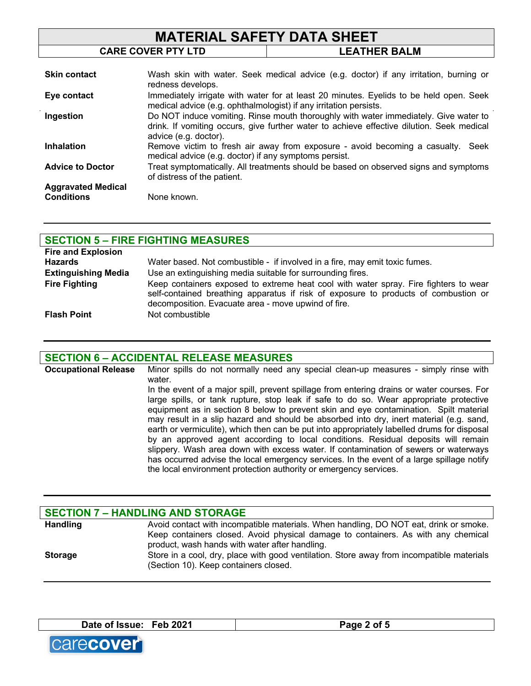| <b>MATERIAL SAFETY DATA SHEET</b> |                                                                                                                                                             |                                                                                                                                                                                   |  |
|-----------------------------------|-------------------------------------------------------------------------------------------------------------------------------------------------------------|-----------------------------------------------------------------------------------------------------------------------------------------------------------------------------------|--|
|                                   | <b>CARE COVER PTY LTD</b>                                                                                                                                   | <b>LEATHER BALM</b>                                                                                                                                                               |  |
|                                   |                                                                                                                                                             |                                                                                                                                                                                   |  |
| <b>Skin contact</b>               | redness develops.                                                                                                                                           | Wash skin with water. Seek medical advice (e.g. doctor) if any irritation, burning or                                                                                             |  |
| Eye contact                       | Immediately irrigate with water for at least 20 minutes. Eyelids to be held open. Seek<br>medical advice (e.g. ophthalmologist) if any irritation persists. |                                                                                                                                                                                   |  |
| Ingestion                         | advice (e.g. doctor).                                                                                                                                       | Do NOT induce vomiting. Rinse mouth thoroughly with water immediately. Give water to<br>drink. If vomiting occurs, give further water to achieve effective dilution. Seek medical |  |
| <b>Inhalation</b>                 | medical advice (e.g. doctor) if any symptoms persist.                                                                                                       | Remove victim to fresh air away from exposure - avoid becoming a casualty.<br>Seek                                                                                                |  |
| <b>Advice to Doctor</b>           | of distress of the patient.                                                                                                                                 | Treat symptomatically. All treatments should be based on observed signs and symptoms                                                                                              |  |
| <b>Aggravated Medical</b>         |                                                                                                                                                             |                                                                                                                                                                                   |  |
| <b>Conditions</b>                 | None known.                                                                                                                                                 |                                                                                                                                                                                   |  |

### **SECTION 5 – FIRE FIGHTING MEASURES**

| <b>Fire and Explosion</b>  |                                                                                                                                                                                                                                    |
|----------------------------|------------------------------------------------------------------------------------------------------------------------------------------------------------------------------------------------------------------------------------|
| <b>Hazards</b>             | Water based. Not combustible - if involved in a fire, may emit toxic fumes.                                                                                                                                                        |
| <b>Extinguishing Media</b> | Use an extinguishing media suitable for surrounding fires.                                                                                                                                                                         |
| <b>Fire Fighting</b>       | Keep containers exposed to extreme heat cool with water spray. Fire fighters to wear<br>self-contained breathing apparatus if risk of exposure to products of combustion or<br>decomposition. Evacuate area - move upwind of fire. |
| <b>Flash Point</b>         | Not combustible                                                                                                                                                                                                                    |

### **SECTION 6 – ACCIDENTAL RELEASE MEASURES**

**Occupational Release** Minor spills do not normally need any special clean-up measures - simply rinse with water. In the event of a major spill, prevent spillage from entering drains or water courses. For large spills, or tank rupture, stop leak if safe to do so. Wear appropriate protective equipment as in section 8 below to prevent skin and eye contamination. Spilt material

may result in a slip hazard and should be absorbed into dry, inert material (e.g. sand, earth or vermiculite), which then can be put into appropriately labelled drums for disposal by an approved agent according to local conditions. Residual deposits will remain slippery. Wash area down with excess water. If contamination of sewers or waterways has occurred advise the local emergency services. In the event of a large spillage notify the local environment protection authority or emergency services.

|                 | <b>SECTION 7 - HANDLING AND STORAGE</b>                                                                                             |
|-----------------|-------------------------------------------------------------------------------------------------------------------------------------|
| <b>Handling</b> | Avoid contact with incompatible materials. When handling, DO NOT eat, drink or smoke.                                               |
|                 | Keep containers closed. Avoid physical damage to containers. As with any chemical<br>product, wash hands with water after handling. |
| <b>Storage</b>  | Store in a cool, dry, place with good ventilation. Store away from incompatible materials<br>(Section 10). Keep containers closed.  |

**Date of Issue: Feb 2021 Page 2 of 5**

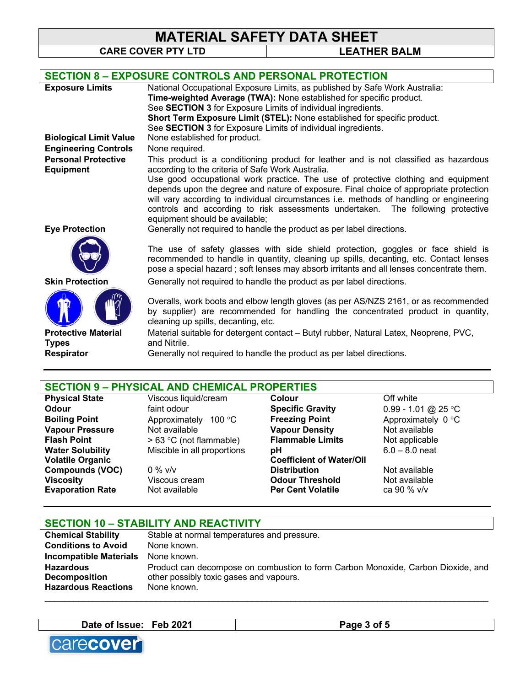# **MATERIAL SAFETY DATA SHEET**<br>CARE COVER PTY LTD

|                                                | <b>SECTION 8 - EXPOSURE CONTROLS AND PERSONAL PROTECTION</b>                                                                                                                                                                                                                                                                                                                                |
|------------------------------------------------|---------------------------------------------------------------------------------------------------------------------------------------------------------------------------------------------------------------------------------------------------------------------------------------------------------------------------------------------------------------------------------------------|
| <b>Exposure Limits</b>                         | National Occupational Exposure Limits, as published by Safe Work Australia:                                                                                                                                                                                                                                                                                                                 |
|                                                | Time-weighted Average (TWA): None established for specific product.                                                                                                                                                                                                                                                                                                                         |
|                                                | See SECTION 3 for Exposure Limits of individual ingredients.                                                                                                                                                                                                                                                                                                                                |
|                                                | Short Term Exposure Limit (STEL): None established for specific product.                                                                                                                                                                                                                                                                                                                    |
|                                                | See SECTION 3 for Exposure Limits of individual ingredients.                                                                                                                                                                                                                                                                                                                                |
| <b>Biological Limit Value</b>                  | None established for product.                                                                                                                                                                                                                                                                                                                                                               |
| <b>Engineering Controls</b>                    | None required.                                                                                                                                                                                                                                                                                                                                                                              |
| <b>Personal Protective</b><br><b>Equipment</b> | This product is a conditioning product for leather and is not classified as hazardous<br>according to the criteria of Safe Work Australia.                                                                                                                                                                                                                                                  |
|                                                | Use good occupational work practice. The use of protective clothing and equipment<br>depends upon the degree and nature of exposure. Final choice of appropriate protection<br>will vary according to individual circumstances i.e. methods of handling or engineering<br>controls and according to risk assessments undertaken. The following protective<br>equipment should be available; |
| <b>Eye Protection</b>                          | Generally not required to handle the product as per label directions.                                                                                                                                                                                                                                                                                                                       |
|                                                | The use of safety glasses with side shield protection, goggles or face shield is<br>recommended to handle in quantity, cleaning up spills, decanting, etc. Contact lenses<br>pose a special hazard; soft lenses may absorb irritants and all lenses concentrate them.                                                                                                                       |
| <b>Skin Protection</b>                         | Generally not required to handle the product as per label directions.                                                                                                                                                                                                                                                                                                                       |
|                                                | Overalls, work boots and elbow length gloves (as per AS/NZS 2161, or as recommended<br>by supplier) are recommended for handling the concentrated product in quantity,<br>cleaning up spills, decanting, etc.                                                                                                                                                                               |
| <b>Protective Material</b>                     | Material suitable for detergent contact – Butyl rubber, Natural Latex, Neoprene, PVC,                                                                                                                                                                                                                                                                                                       |
| <b>Types</b>                                   | and Nitrile.                                                                                                                                                                                                                                                                                                                                                                                |
| <b>Respirator</b>                              | Generally not required to handle the product as per label directions.                                                                                                                                                                                                                                                                                                                       |
|                                                |                                                                                                                                                                                                                                                                                                                                                                                             |
|                                                | <b>SECTION 9 – PHYSICAL AND CHEMICAL PROPERTIES</b>                                                                                                                                                                                                                                                                                                                                         |

|                         | <u> SEUTIUN 9 – PHTSIUAL AND UNEMIUAL PRUPERTIES</u> |                                 |                     |
|-------------------------|------------------------------------------------------|---------------------------------|---------------------|
| <b>Physical State</b>   | Viscous liquid/cream                                 | Colour                          | Off white           |
| <b>Odour</b>            | faint odour                                          | <b>Specific Gravity</b>         | 0.99 - 1.01 @ 25 °C |
| <b>Boiling Point</b>    | Approximately 100 °C                                 | <b>Freezing Point</b>           | Approximately 0 °C  |
| <b>Vapour Pressure</b>  | Not available                                        | <b>Vapour Density</b>           | Not available       |
| <b>Flash Point</b>      | $> 63$ °C (not flammable)                            | <b>Flammable Limits</b>         | Not applicable      |
| <b>Water Solubility</b> | Miscible in all proportions                          | рH                              | $6.0 - 8.0$ neat    |
| <b>Volatile Organic</b> |                                                      | <b>Coefficient of Water/Oil</b> |                     |
| <b>Compounds (VOC)</b>  | $0\%$ v/v                                            | <b>Distribution</b>             | Not available       |
| Viscosity               | Viscous cream                                        | <b>Odour Threshold</b>          | Not available       |
| <b>Evaporation Rate</b> | Not available                                        | <b>Per Cent Volatile</b>        | ca 90 % v/v         |
|                         |                                                      |                                 |                     |

|                               | <b>SECTION 10 - STABILITY AND REACTIVITY</b>                                     |
|-------------------------------|----------------------------------------------------------------------------------|
| <b>Chemical Stability</b>     | Stable at normal temperatures and pressure.                                      |
| <b>Conditions to Avoid</b>    | None known.                                                                      |
| <b>Incompatible Materials</b> | None known.                                                                      |
| <b>Hazardous</b>              | Product can decompose on combustion to form Carbon Monoxide, Carbon Dioxide, and |
| <b>Decomposition</b>          | other possibly toxic gases and vapours.                                          |
| <b>Hazardous Reactions</b>    | None known.                                                                      |
|                               |                                                                                  |

**Date of Issue: Feb 2021 Page 3 of 5**

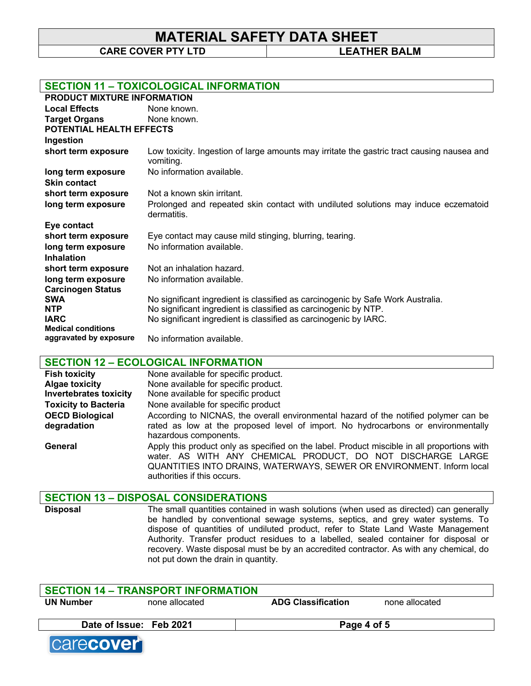**MATERIAL SAFETY DATA SHEET CARE COVER PTY LTD LEATHER BALM**

|                                    | <b>SECTION 11 - TOXICOLOGICAL INFORMATION</b>                                                           |
|------------------------------------|---------------------------------------------------------------------------------------------------------|
| <b>PRODUCT MIXTURE INFORMATION</b> |                                                                                                         |
| <b>Local Effects</b>               | None known.                                                                                             |
| <b>Target Organs</b>               | None known.                                                                                             |
| <b>POTENTIAL HEALTH EFFECTS</b>    |                                                                                                         |
| Ingestion                          |                                                                                                         |
| short term exposure                | Low toxicity. Ingestion of large amounts may irritate the gastric tract causing nausea and<br>vomiting. |
| long term exposure                 | No information available.                                                                               |
| <b>Skin contact</b>                |                                                                                                         |
| short term exposure                | Not a known skin irritant.                                                                              |
| long term exposure                 | Prolonged and repeated skin contact with undiluted solutions may induce eczematoid<br>dermatitis.       |
| Eye contact                        |                                                                                                         |
| short term exposure                | Eye contact may cause mild stinging, blurring, tearing.                                                 |
| long term exposure                 | No information available.                                                                               |
| <b>Inhalation</b>                  |                                                                                                         |
| short term exposure                | Not an inhalation hazard.                                                                               |
| long term exposure                 | No information available.                                                                               |
| <b>Carcinogen Status</b>           |                                                                                                         |
| <b>SWA</b>                         | No significant ingredient is classified as carcinogenic by Safe Work Australia.                         |
| <b>NTP</b>                         | No significant ingredient is classified as carcinogenic by NTP.                                         |
| <b>IARC</b>                        | No significant ingredient is classified as carcinogenic by IARC.                                        |
| <b>Medical conditions</b>          |                                                                                                         |
| aggravated by exposure             | No information available.                                                                               |

#### **SECTION 12 – ECOLOGICAL INFORMATION**

| None available for specific product.                                                                                                                                                                                                                               |
|--------------------------------------------------------------------------------------------------------------------------------------------------------------------------------------------------------------------------------------------------------------------|
| None available for specific product.                                                                                                                                                                                                                               |
| None available for specific product                                                                                                                                                                                                                                |
| None available for specific product                                                                                                                                                                                                                                |
| According to NICNAS, the overall environmental hazard of the notified polymer can be<br>rated as low at the proposed level of import. No hydrocarbons or environmentally<br>hazardous components.                                                                  |
| Apply this product only as specified on the label. Product miscible in all proportions with<br>water. AS WITH ANY CHEMICAL PRODUCT, DO NOT DISCHARGE LARGE<br>QUANTITIES INTO DRAINS, WATERWAYS, SEWER OR ENVIRONMENT. Inform local<br>authorities if this occurs. |
|                                                                                                                                                                                                                                                                    |

### **SECTION 13 – DISPOSAL CONSIDERATIONS**

**Disposal** The small quantities contained in wash solutions (when used as directed) can generally be handled by conventional sewage systems, septics, and grey water systems. To dispose of quantities of undiluted product, refer to State Land Waste Management Authority. Transfer product residues to a labelled, sealed container for disposal or recovery. Waste disposal must be by an accredited contractor. As with any chemical, do not put down the drain in quantity.

| <b>SECTION 14 - TRANSPORT INFORMATION</b> |                |                           |                |  |
|-------------------------------------------|----------------|---------------------------|----------------|--|
| <b>UN Number</b>                          | none allocated | <b>ADG Classification</b> | none allocated |  |
| Date of Issue: Feb 2021                   |                | Page 4 of 5               |                |  |
| <b>Icarecovert</b>                        |                |                           |                |  |